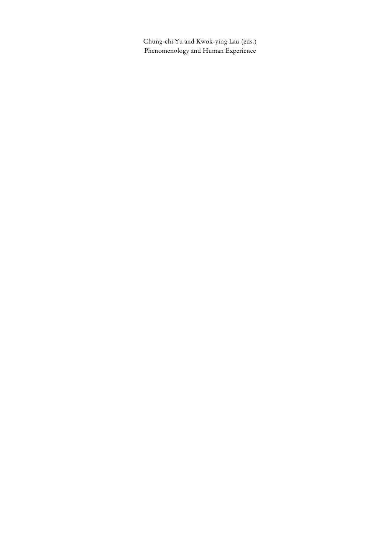Chung-chi Yu and Kwok-ying Lau (eds.) Phenomenology and Human Experience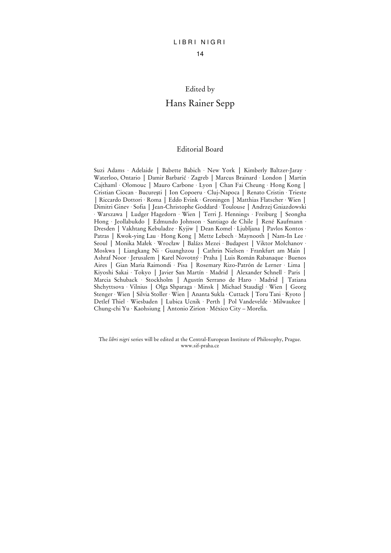## Edited by

### Hans Rainer Sepp

#### Editorial Board

Suzi Adams · Adelaide │ Babette Babich · New York │ Kimberly Baltzer-Jaray · Waterloo, Ontario │ Damir Barbarić · Zagreb │ Marcus Brainard · London │ Martin Cajthaml · Olomouc │ Mauro Carbone · Lyon │ Chan Fai Cheung · Hong Kong │ Cristian Ciocan · Bucureşti │ Ion Copoeru · Cluj-Napoca │ Renato Cristin · Trieste │ Riccardo Dottori · Roma │ Eddo Evink · Groningen │ Matthias Flatscher · Wien │ Dimitri Ginev · Sofia │ Jean-Christophe Goddard · Toulouse │ Andrzej Gniazdowski · Warszawa │ Ludger Hagedorn · Wien │ Terri J. Hennings · Freiburg │ Seongha Hong · Jeollabukdo │ Edmundo Johnson · Santiago de Chile │ René Kaufmann · Dresden │ Vakhtang Kebuladze · Kyjiw │ Dean Komel · Ljubljana │ Pavlos Kontos · Patras │ Kwok-ying Lau · Hong Kong │ Mette Lebech · Maynooth │ Nam-In Lee · Seoul │ Monika Małek · Wrocław │ Balázs Mezei · Budapest │ Viktor Molchanov · Moskwa │ Liangkang Ni · Guanghzou │ Cathrin Nielsen · Frankfurt am Main │ Ashraf Noor · Jerusalem │ Karel Novotný · Praha │ Luis Román Rabanaque · Buenos Aires │ Gian Maria Raimondi · Pisa │ Rosemary Rizo-Patrón de Lerner · Lima │ Kiyoshi Sakai · Tokyo │ Javier San Martín · Madrid │ Alexander Schnell · Paris │ Marcia Schuback · Stockholm │ Agustín Serrano de Haro · Madrid │ Tatiana Shchyttsova · Vilnius │ Olga Shparaga · Minsk │ Michael Staudigl · Wien │ Georg Stenger · Wien │ Silvia Stoller · Wien │ Ananta Sukla · Cuttack │ Toru Tani · Kyoto │ Detlef Thiel · Wiesbaden │ Lubica Ucnik · Perth │ Pol Vandevelde · Milwaukee │ Chung-chi Yu · Kaohsiung │ Antonio Zirion · México City – Morelia.

The *libri nigri* series will be edited at the Central-European Institute of Philosophy, Prague. www.sif-praha.cz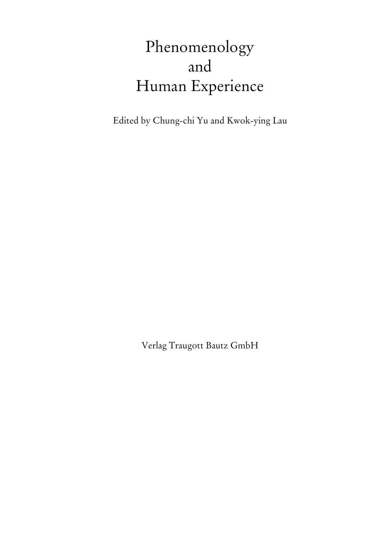# Phenomenology and Human Experience

Edited by Chung-chi Yu and Kwok-ying Lau

Verlag Traugott Bautz GmbH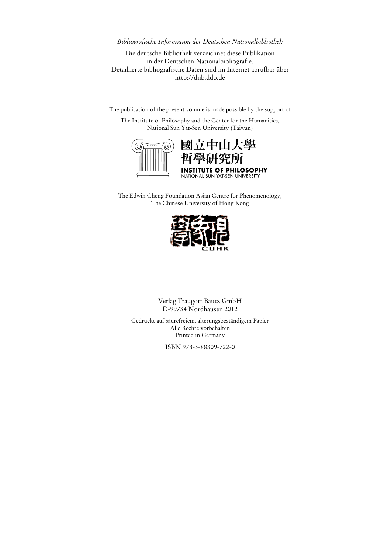#### *Bibliografische Information der Deutschen Nationalbibliothek*

Die deutsche Bibliothek verzeichnet diese Publikation in der Deutschen Nationalbibliografie. Detaillierte bibliografische Daten sind im Internet abrufbar über http://dnb.ddb.de

The publication of the present volume is made possible by the support of

The Institute of Philosophy and the Center for the Humanities, National Sun Yat-Sen University (Taiwan)



## 國立中山大學 空所 OF PHILOSOPHY NATIONAL SUN YAT-SEN UNIVERSITY

The Edwin Cheng Foundation Asian Centre for Phenomenology, The Chinese University of Hong Kong



Verlag Traugott Bautz GmbH D-99734 Nordhausen 2012

Gedruckt auf säurefreiem, alterungsbeständigem Papier Alle Rechte vorbehalten Printed in Germany

ISBN 978-3-88309-722-0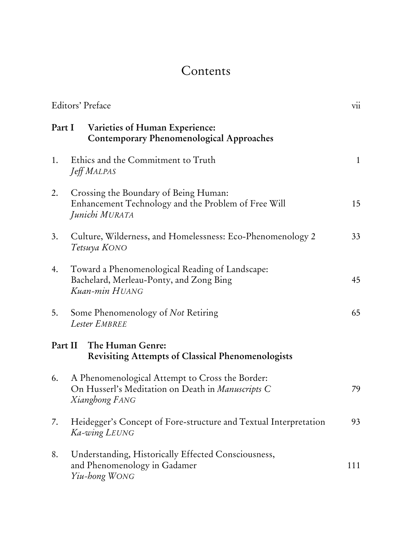## Contents

| Editors' Preface                                                                        |                                                                                                                        | $\overline{\text{vii}}$ |
|-----------------------------------------------------------------------------------------|------------------------------------------------------------------------------------------------------------------------|-------------------------|
| Part I<br>Varieties of Human Experience:<br>Contemporary Phenomenological Approaches    |                                                                                                                        |                         |
| 1.                                                                                      | Ethics and the Commitment to Truth<br>Jeff MALPAS                                                                      | $\mathbf{1}$            |
| 2.                                                                                      | Crossing the Boundary of Being Human:<br>Enhancement Technology and the Problem of Free Will<br>Junichi MURATA         | 15                      |
| 3.                                                                                      | Culture, Wilderness, and Homelessness: Eco-Phenomenology 2<br>Tetsuya KONO                                             | 33                      |
| 4.                                                                                      | Toward a Phenomenological Reading of Landscape:<br>Bachelard, Merleau-Ponty, and Zong Bing<br>Kuan-min HUANG           | 45                      |
| 5.                                                                                      | Some Phenomenology of Not Retiring<br>Lester EMBREE                                                                    | 65                      |
| Part II<br>The Human Genre:<br><b>Revisiting Attempts of Classical Phenomenologists</b> |                                                                                                                        |                         |
| 6.                                                                                      | A Phenomenological Attempt to Cross the Border:<br>On Husserl's Meditation on Death in Manuscripts C<br>Xianghong FANG | 79                      |
| 7.                                                                                      | Heidegger's Concept of Fore-structure and Textual Interpretation<br>Ka-wing LEUNG                                      | 93                      |
| 8.                                                                                      | Understanding, Historically Effected Consciousness,<br>and Phenomenology in Gadamer<br>Yiu-hong WONG                   | 111                     |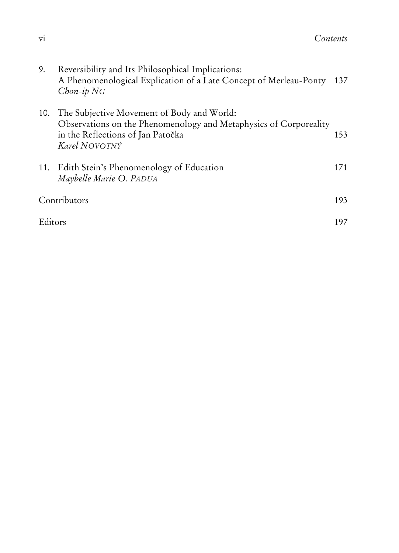| 9.      | Reversibility and Its Philosophical Implications:<br>A Phenomenological Explication of a Late Concept of Merleau-Ponty<br>$Chon-ip NG$                                | 137 |
|---------|-----------------------------------------------------------------------------------------------------------------------------------------------------------------------|-----|
| 10.     | The Subjective Movement of Body and World:<br>Observations on the Phenomenology and Metaphysics of Corporeality<br>in the Reflections of Jan Patočka<br>Karel NOVOTNÝ | 153 |
|         | 11. Edith Stein's Phenomenology of Education<br>Maybelle Marie O. PADUA                                                                                               | 171 |
|         | Contributors                                                                                                                                                          | 193 |
| Editors |                                                                                                                                                                       | 197 |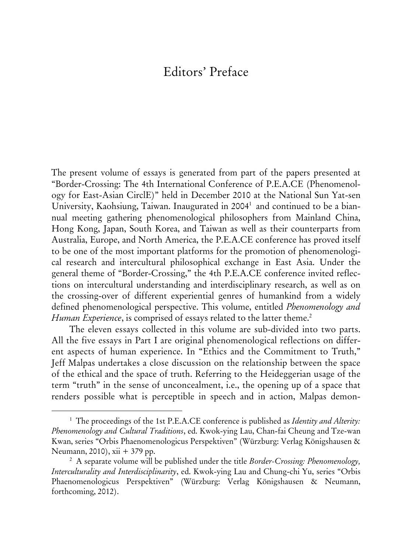## Editors' Preface

The present volume of essays is generated from part of the papers presented at "Border-Crossing: The 4th International Conference of P.E.A.CE (Phenomenology for East-Asian CirclE)" held in December 2010 at the National Sun Yat-sen University, Kaohsiung, Taiwan. Inaugurated in 2004<sup>1</sup> and continued to be a biannual meeting gathering phenomenological philosophers from Mainland China, Hong Kong, Japan, South Korea, and Taiwan as well as their counterparts from Australia, Europe, and North America, the P.E.A.CE conference has proved itself to be one of the most important platforms for the promotion of phenomenological research and intercultural philosophical exchange in East Asia. Under the general theme of "Border-Crossing," the 4th P.E.A.CE conference invited reflections on intercultural understanding and interdisciplinary research, as well as on the crossing-over of different experiential genres of humankind from a widely defined phenomenological perspective. This volume, entitled *Phenomenology and Human Experience*, is comprised of essays related to the latter theme.<sup>2</sup>

The eleven essays collected in this volume are sub-divided into two parts. All the five essays in Part I are original phenomenological reflections on different aspects of human experience. In "Ethics and the Commitment to Truth," Jeff Malpas undertakes a close discussion on the relationship between the space of the ethical and the space of truth. Referring to the Heideggerian usage of the term "truth" in the sense of unconcealment, i.e., the opening up of a space that renders possible what is perceptible in speech and in action, Malpas demon-

<sup>&</sup>lt;sup>1</sup> The proceedings of the 1st P.E.A.CE conference is published as *Identity and Alterity: Phenomenology and Cultural Traditions*, ed. Kwok-ying Lau, Chan-fai Cheung and Tze-wan Kwan, series "Orbis Phaenomenologicus Perspektiven" (Würzburg: Verlag Königshausen & Neumann, 2010), xii + 379 pp. 2

A separate volume will be published under the title *Border-Crossing: Phenomenology, Interculturality and Interdisciplinarity*, ed. Kwok-ying Lau and Chung-chi Yu, series "Orbis Phaenomenologicus Perspektiven" (Würzburg: Verlag Königshausen & Neumann, forthcoming, 2012).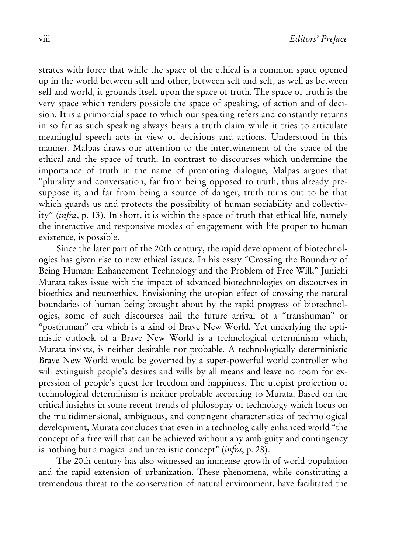strates with force that while the space of the ethical is a common space opened up in the world between self and other, between self and self, as well as between self and world, it grounds itself upon the space of truth. The space of truth is the very space which renders possible the space of speaking, of action and of decision. It is a primordial space to which our speaking refers and constantly returns in so far as such speaking always bears a truth claim while it tries to articulate meaningful speech acts in view of decisions and actions. Understood in this manner, Malpas draws our attention to the intertwinement of the space of the ethical and the space of truth. In contrast to discourses which undermine the importance of truth in the name of promoting dialogue, Malpas argues that "plurality and conversation, far from being opposed to truth, thus already presuppose it, and far from being a source of danger, truth turns out to be that which guards us and protects the possibility of human sociability and collectivity" (*infra*, p. 13). In short, it is within the space of truth that ethical life, namely the interactive and responsive modes of engagement with life proper to human existence, is possible.

Since the later part of the 20th century, the rapid development of biotechnologies has given rise to new ethical issues. In his essay "Crossing the Boundary of Being Human: Enhancement Technology and the Problem of Free Will," Junichi Murata takes issue with the impact of advanced biotechnologies on discourses in bioethics and neuroethics. Envisioning the utopian effect of crossing the natural boundaries of human being brought about by the rapid progress of biotechnologies, some of such discourses hail the future arrival of a "transhuman" or "posthuman" era which is a kind of Brave New World. Yet underlying the optimistic outlook of a Brave New World is a technological determinism which, Murata insists, is neither desirable nor probable. A technologically deterministic Brave New World would be governed by a super-powerful world controller who will extinguish people's desires and wills by all means and leave no room for expression of people's quest for freedom and happiness. The utopist projection of technological determinism is neither probable according to Murata. Based on the critical insights in some recent trends of philosophy of technology which focus on the multidimensional, ambiguous, and contingent characteristics of technological development, Murata concludes that even in a technologically enhanced world "the concept of a free will that can be achieved without any ambiguity and contingency is nothing but a magical and unrealistic concept" (*infra*, p. 28).

The 20th century has also witnessed an immense growth of world population and the rapid extension of urbanization. These phenomena, while constituting a tremendous threat to the conservation of natural environment, have facilitated the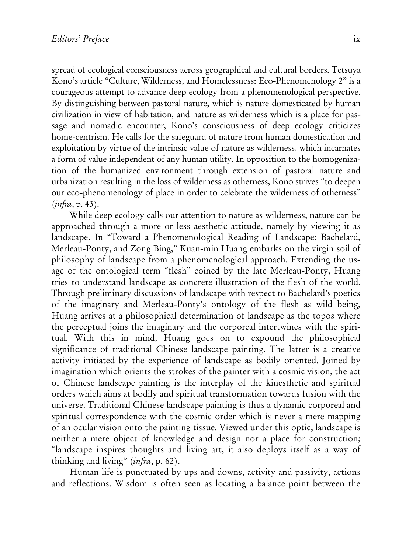spread of ecological consciousness across geographical and cultural borders. Tetsuya Kono's article "Culture, Wilderness, and Homelessness: Eco-Phenomenology 2" is a courageous attempt to advance deep ecology from a phenomenological perspective. By distinguishing between pastoral nature, which is nature domesticated by human civilization in view of habitation, and nature as wilderness which is a place for passage and nomadic encounter, Kono's consciousness of deep ecology criticizes home-centrism. He calls for the safeguard of nature from human domestication and exploitation by virtue of the intrinsic value of nature as wilderness, which incarnates a form of value independent of any human utility. In opposition to the homogenization of the humanized environment through extension of pastoral nature and urbanization resulting in the loss of wilderness as otherness, Kono strives "to deepen our eco-phenomenology of place in order to celebrate the wilderness of otherness" (*infra*, p. 43).

While deep ecology calls our attention to nature as wilderness, nature can be approached through a more or less aesthetic attitude, namely by viewing it as landscape. In "Toward a Phenomenological Reading of Landscape: Bachelard, Merleau-Ponty, and Zong Bing," Kuan-min Huang embarks on the virgin soil of philosophy of landscape from a phenomenological approach. Extending the usage of the ontological term "flesh" coined by the late Merleau-Ponty, Huang tries to understand landscape as concrete illustration of the flesh of the world. Through preliminary discussions of landscape with respect to Bachelard's poetics of the imaginary and Merleau-Ponty's ontology of the flesh as wild being, Huang arrives at a philosophical determination of landscape as the topos where the perceptual joins the imaginary and the corporeal intertwines with the spiritual. With this in mind, Huang goes on to expound the philosophical significance of traditional Chinese landscape painting. The latter is a creative activity initiated by the experience of landscape as bodily oriented. Joined by imagination which orients the strokes of the painter with a cosmic vision, the act of Chinese landscape painting is the interplay of the kinesthetic and spiritual orders which aims at bodily and spiritual transformation towards fusion with the universe. Traditional Chinese landscape painting is thus a dynamic corporeal and spiritual correspondence with the cosmic order which is never a mere mapping of an ocular vision onto the painting tissue. Viewed under this optic, landscape is neither a mere object of knowledge and design nor a place for construction; "landscape inspires thoughts and living art, it also deploys itself as a way of thinking and living" (*infra*, p. 62).

Human life is punctuated by ups and downs, activity and passivity, actions and reflections. Wisdom is often seen as locating a balance point between the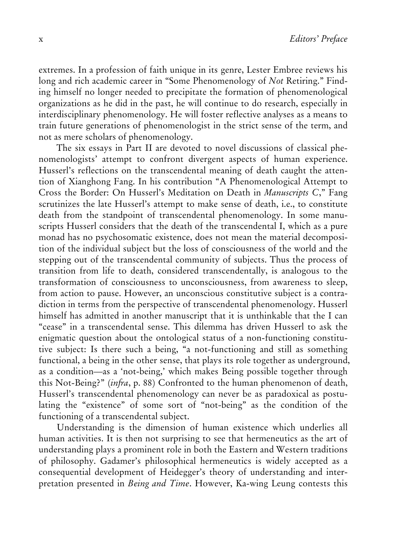extremes. In a profession of faith unique in its genre, Lester Embree reviews his long and rich academic career in "Some Phenomenology of *Not* Retiring." Finding himself no longer needed to precipitate the formation of phenomenological organizations as he did in the past, he will continue to do research, especially in interdisciplinary phenomenology. He will foster reflective analyses as a means to train future generations of phenomenologist in the strict sense of the term, and not as mere scholars of phenomenology.

The six essays in Part II are devoted to novel discussions of classical phenomenologists' attempt to confront divergent aspects of human experience. Husserl's reflections on the transcendental meaning of death caught the attention of Xianghong Fang. In his contribution "A Phenomenological Attempt to Cross the Border: On Husserl's Meditation on Death in *Manuscripts C*," Fang scrutinizes the late Husserl's attempt to make sense of death, i.e., to constitute death from the standpoint of transcendental phenomenology. In some manuscripts Husserl considers that the death of the transcendental I, which as a pure monad has no psychosomatic existence, does not mean the material decomposition of the individual subject but the loss of consciousness of the world and the stepping out of the transcendental community of subjects. Thus the process of transition from life to death, considered transcendentally, is analogous to the transformation of consciousness to unconsciousness, from awareness to sleep, from action to pause. However, an unconscious constitutive subject is a contradiction in terms from the perspective of transcendental phenomenology. Husserl himself has admitted in another manuscript that it is unthinkable that the I can "cease" in a transcendental sense. This dilemma has driven Husserl to ask the enigmatic question about the ontological status of a non-functioning constitutive subject: Is there such a being, "a not-functioning and still as something functional, a being in the other sense, that plays its role together as underground, as a condition—as a 'not-being,' which makes Being possible together through this Not-Being?" (*infra*, p. 88) Confronted to the human phenomenon of death, Husserl's transcendental phenomenology can never be as paradoxical as postulating the "existence" of some sort of "not-being" as the condition of the functioning of a transcendental subject.

Understanding is the dimension of human existence which underlies all human activities. It is then not surprising to see that hermeneutics as the art of understanding plays a prominent role in both the Eastern and Western traditions of philosophy. Gadamer's philosophical hermeneutics is widely accepted as a consequential development of Heidegger's theory of understanding and interpretation presented in *Being and Time*. However, Ka-wing Leung contests this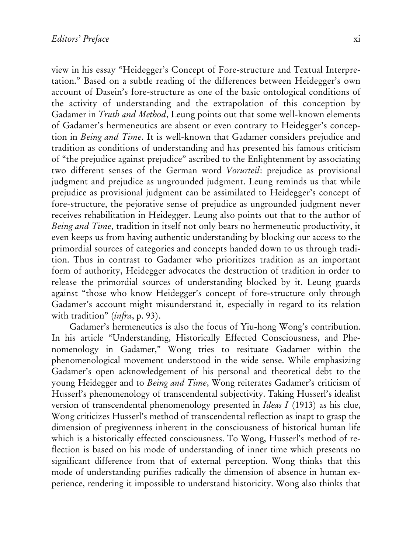view in his essay "Heidegger's Concept of Fore-structure and Textual Interpretation." Based on a subtle reading of the differences between Heidegger's own account of Dasein's fore-structure as one of the basic ontological conditions of the activity of understanding and the extrapolation of this conception by Gadamer in *Truth and Method*, Leung points out that some well-known elements of Gadamer's hermeneutics are absent or even contrary to Heidegger's conception in *Being and Time*. It is well-known that Gadamer considers prejudice and tradition as conditions of understanding and has presented his famous criticism of "the prejudice against prejudice" ascribed to the Enlightenment by associating two different senses of the German word *Vorurteil*: prejudice as provisional judgment and prejudice as ungrounded judgment. Leung reminds us that while prejudice as provisional judgment can be assimilated to Heidegger's concept of fore-structure, the pejorative sense of prejudice as ungrounded judgment never receives rehabilitation in Heidegger. Leung also points out that to the author of *Being and Time*, tradition in itself not only bears no hermeneutic productivity, it even keeps us from having authentic understanding by blocking our access to the primordial sources of categories and concepts handed down to us through tradition. Thus in contrast to Gadamer who prioritizes tradition as an important form of authority, Heidegger advocates the destruction of tradition in order to release the primordial sources of understanding blocked by it. Leung guards against "those who know Heidegger's concept of fore-structure only through Gadamer's account might misunderstand it, especially in regard to its relation with tradition" (*infra*, p. 93).

Gadamer's hermeneutics is also the focus of Yiu-hong Wong's contribution. In his article "Understanding, Historically Effected Consciousness, and Phenomenology in Gadamer," Wong tries to resituate Gadamer within the phenomenological movement understood in the wide sense. While emphasizing Gadamer's open acknowledgement of his personal and theoretical debt to the young Heidegger and to *Being and Time*, Wong reiterates Gadamer's criticism of Husserl's phenomenology of transcendental subjectivity. Taking Husserl's idealist version of transcendental phenomenology presented in *Ideas I* (1913) as his clue, Wong criticizes Husserl's method of transcendental reflection as inapt to grasp the dimension of pregivenness inherent in the consciousness of historical human life which is a historically effected consciousness. To Wong, Husserl's method of reflection is based on his mode of understanding of inner time which presents no significant difference from that of external perception. Wong thinks that this mode of understanding purifies radically the dimension of absence in human experience, rendering it impossible to understand historicity. Wong also thinks that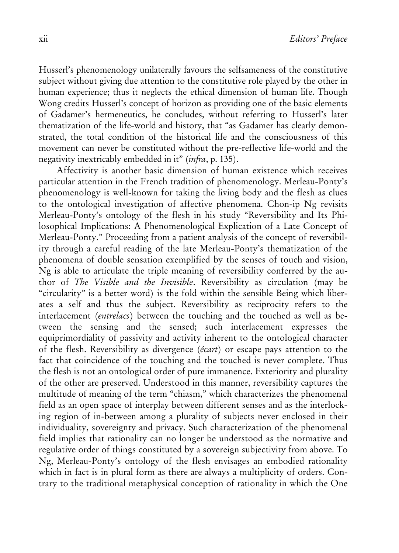Husserl's phenomenology unilaterally favours the selfsameness of the constitutive subject without giving due attention to the constitutive role played by the other in human experience; thus it neglects the ethical dimension of human life. Though Wong credits Husserl's concept of horizon as providing one of the basic elements of Gadamer's hermeneutics, he concludes, without referring to Husserl's later thematization of the life-world and history, that "as Gadamer has clearly demonstrated, the total condition of the historical life and the consciousness of this movement can never be constituted without the pre-reflective life-world and the negativity inextricably embedded in it" (*infra*, p. 135).

Affectivity is another basic dimension of human existence which receives particular attention in the French tradition of phenomenology. Merleau-Ponty's phenomenology is well-known for taking the living body and the flesh as clues to the ontological investigation of affective phenomena. Chon-ip Ng revisits Merleau-Ponty's ontology of the flesh in his study "Reversibility and Its Philosophical Implications: A Phenomenological Explication of a Late Concept of Merleau-Ponty." Proceeding from a patient analysis of the concept of reversibility through a careful reading of the late Merleau-Ponty's thematization of the phenomena of double sensation exemplified by the senses of touch and vision, Ng is able to articulate the triple meaning of reversibility conferred by the author of *The Visible and the Invisible*. Reversibility as circulation (may be "circularity" is a better word) is the fold within the sensible Being which liberates a self and thus the subject. Reversibility as reciprocity refers to the interlacement (*entrelacs*) between the touching and the touched as well as between the sensing and the sensed; such interlacement expresses the equiprimordiality of passivity and activity inherent to the ontological character of the flesh. Reversibility as divergence (*écart*) or escape pays attention to the fact that coincidence of the touching and the touched is never complete. Thus the flesh is not an ontological order of pure immanence. Exteriority and plurality of the other are preserved. Understood in this manner, reversibility captures the multitude of meaning of the term "chiasm," which characterizes the phenomenal field as an open space of interplay between different senses and as the interlocking region of in-between among a plurality of subjects never enclosed in their individuality, sovereignty and privacy. Such characterization of the phenomenal field implies that rationality can no longer be understood as the normative and regulative order of things constituted by a sovereign subjectivity from above. To Ng, Merleau-Ponty's ontology of the flesh envisages an embodied rationality which in fact is in plural form as there are always a multiplicity of orders. Contrary to the traditional metaphysical conception of rationality in which the One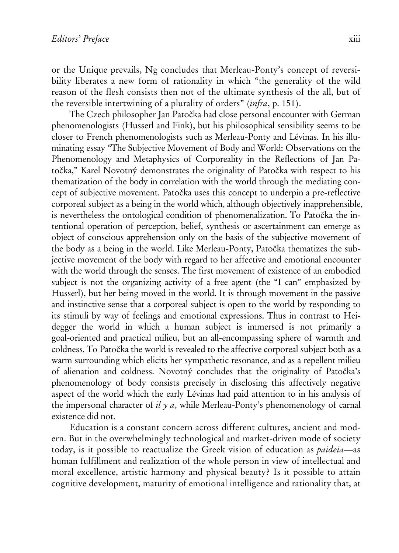or the Unique prevails, Ng concludes that Merleau-Ponty's concept of reversibility liberates a new form of rationality in which "the generality of the wild reason of the flesh consists then not of the ultimate synthesis of the all, but of the reversible intertwining of a plurality of orders" (*infra*, p. 151).

The Czech philosopher Jan Patočka had close personal encounter with German phenomenologists (Husserl and Fink), but his philosophical sensibility seems to be closer to French phenomenologists such as Merleau-Ponty and Lévinas. In his illuminating essay "The Subjective Movement of Body and World: Observations on the Phenomenology and Metaphysics of Corporeality in the Reflections of Jan Patočka," Karel Novotný demonstrates the originality of Patočka with respect to his thematization of the body in correlation with the world through the mediating concept of subjective movement. Patočka uses this concept to underpin a pre-reflective corporeal subject as a being in the world which, although objectively inapprehensible, is nevertheless the ontological condition of phenomenalization. To Patočka the intentional operation of perception, belief, synthesis or ascertainment can emerge as object of conscious apprehension only on the basis of the subjective movement of the body as a being in the world. Like Merleau-Ponty, Patočka thematizes the subjective movement of the body with regard to her affective and emotional encounter with the world through the senses. The first movement of existence of an embodied subject is not the organizing activity of a free agent (the "I can" emphasized by Husserl), but her being moved in the world. It is through movement in the passive and instinctive sense that a corporeal subject is open to the world by responding to its stimuli by way of feelings and emotional expressions. Thus in contrast to Heidegger the world in which a human subject is immersed is not primarily a goal-oriented and practical milieu, but an all-encompassing sphere of warmth and coldness. To Patočka the world is revealed to the affective corporeal subject both as a warm surrounding which elicits her sympathetic resonance, and as a repellent milieu of alienation and coldness. Novotný concludes that the originality of Patočka's phenomenology of body consists precisely in disclosing this affectively negative aspect of the world which the early Lévinas had paid attention to in his analysis of the impersonal character of *il y a*, while Merleau-Ponty's phenomenology of carnal existence did not.

Education is a constant concern across different cultures, ancient and modern. But in the overwhelmingly technological and market-driven mode of society today, is it possible to reactualize the Greek vision of education as *paideia*—as human fulfillment and realization of the whole person in view of intellectual and moral excellence, artistic harmony and physical beauty? Is it possible to attain cognitive development, maturity of emotional intelligence and rationality that, at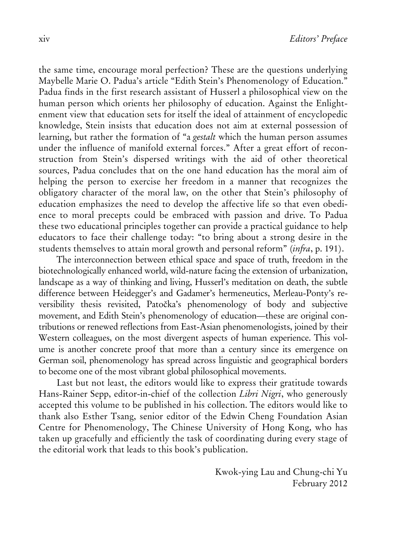the same time, encourage moral perfection? These are the questions underlying Maybelle Marie O. Padua's article "Edith Stein's Phenomenology of Education." Padua finds in the first research assistant of Husserl a philosophical view on the human person which orients her philosophy of education. Against the Enlightenment view that education sets for itself the ideal of attainment of encyclopedic knowledge, Stein insists that education does not aim at external possession of learning, but rather the formation of "a *gestalt* which the human person assumes under the influence of manifold external forces." After a great effort of reconstruction from Stein's dispersed writings with the aid of other theoretical sources, Padua concludes that on the one hand education has the moral aim of helping the person to exercise her freedom in a manner that recognizes the obligatory character of the moral law, on the other that Stein's philosophy of education emphasizes the need to develop the affective life so that even obedience to moral precepts could be embraced with passion and drive. To Padua these two educational principles together can provide a practical guidance to help educators to face their challenge today: "to bring about a strong desire in the students themselves to attain moral growth and personal reform" (*infra*, p. 191).

The interconnection between ethical space and space of truth, freedom in the biotechnologically enhanced world, wild-nature facing the extension of urbanization, landscape as a way of thinking and living, Husserl's meditation on death, the subtle difference between Heidegger's and Gadamer's hermeneutics, Merleau-Ponty's reversibility thesis revisited, Patočka's phenomenology of body and subjective movement, and Edith Stein's phenomenology of education—these are original contributions or renewed reflections from East-Asian phenomenologists, joined by their Western colleagues, on the most divergent aspects of human experience. This volume is another concrete proof that more than a century since its emergence on German soil, phenomenology has spread across linguistic and geographical borders to become one of the most vibrant global philosophical movements.

Last but not least, the editors would like to express their gratitude towards Hans-Rainer Sepp, editor-in-chief of the collection *Libri Nigri*, who generously accepted this volume to be published in his collection. The editors would like to thank also Esther Tsang, senior editor of the Edwin Cheng Foundation Asian Centre for Phenomenology, The Chinese University of Hong Kong, who has taken up gracefully and efficiently the task of coordinating during every stage of the editorial work that leads to this book's publication.

> Kwok-ying Lau and Chung-chi Yu February 2012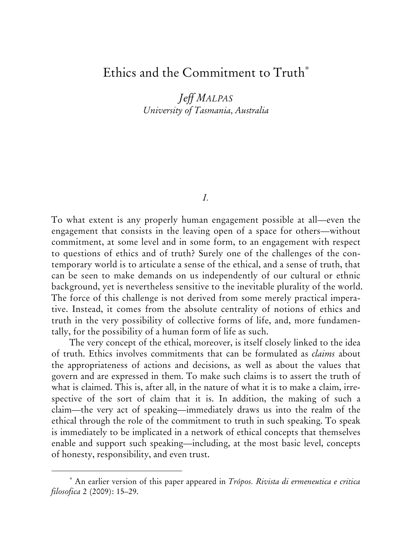## Ethics and the Commitment to Truth

*Jeff MALPAS University of Tasmania, Australia* 

*I.* 

To what extent is any properly human engagement possible at all—even the engagement that consists in the leaving open of a space for others—without commitment, at some level and in some form, to an engagement with respect to questions of ethics and of truth? Surely one of the challenges of the contemporary world is to articulate a sense of the ethical, and a sense of truth, that can be seen to make demands on us independently of our cultural or ethnic background, yet is nevertheless sensitive to the inevitable plurality of the world. The force of this challenge is not derived from some merely practical imperative. Instead, it comes from the absolute centrality of notions of ethics and truth in the very possibility of collective forms of life, and, more fundamentally, for the possibility of a human form of life as such.

The very concept of the ethical, moreover, is itself closely linked to the idea of truth. Ethics involves commitments that can be formulated as *claims* about the appropriateness of actions and decisions, as well as about the values that govern and are expressed in them. To make such claims is to assert the truth of what is claimed. This is, after all, in the nature of what it is to make a claim, irrespective of the sort of claim that it is. In addition, the making of such a claim—the very act of speaking—immediately draws us into the realm of the ethical through the role of the commitment to truth in such speaking. To speak is immediately to be implicated in a network of ethical concepts that themselves enable and support such speaking—including, at the most basic level, concepts of honesty, responsibility, and even trust.

 An earlier version of this paper appeared in *Trópos. Rivista di ermeneutica e critica filosofica* 2 (2009): 15–29.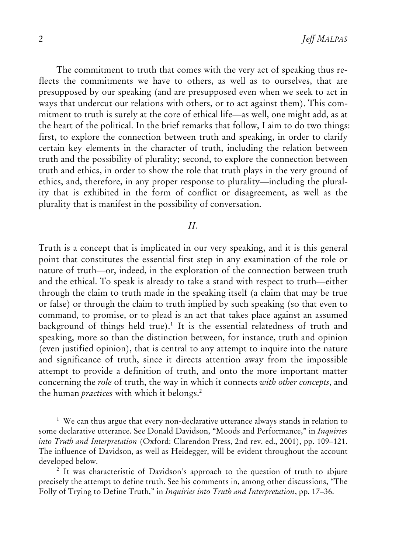The commitment to truth that comes with the very act of speaking thus reflects the commitments we have to others, as well as to ourselves, that are presupposed by our speaking (and are presupposed even when we seek to act in ways that undercut our relations with others, or to act against them). This commitment to truth is surely at the core of ethical life—as well, one might add, as at the heart of the political. In the brief remarks that follow, I aim to do two things: first, to explore the connection between truth and speaking, in order to clarify certain key elements in the character of truth, including the relation between truth and the possibility of plurality; second, to explore the connection between truth and ethics, in order to show the role that truth plays in the very ground of ethics, and, therefore, in any proper response to plurality—including the plurality that is exhibited in the form of conflict or disagreement, as well as the plurality that is manifest in the possibility of conversation.

#### *II.*

Truth is a concept that is implicated in our very speaking, and it is this general point that constitutes the essential first step in any examination of the role or nature of truth—or, indeed, in the exploration of the connection between truth and the ethical. To speak is already to take a stand with respect to truth—either through the claim to truth made in the speaking itself (a claim that may be true or false) or through the claim to truth implied by such speaking (so that even to command, to promise, or to plead is an act that takes place against an assumed background of things held true).<sup>1</sup> It is the essential relatedness of truth and speaking, more so than the distinction between, for instance, truth and opinion (even justified opinion), that is central to any attempt to inquire into the nature and significance of truth, since it directs attention away from the impossible attempt to provide a definition of truth, and onto the more important matter concerning the *role* of truth, the way in which it connects *with other concepts*, and the human *practices* with which it belongs.<sup>2</sup>

 $1$  We can thus argue that every non-declarative utterance always stands in relation to some declarative utterance. See Donald Davidson, "Moods and Performance," in *Inquiries into Truth and Interpretation* (Oxford: Clarendon Press, 2nd rev. ed., 2001), pp. 109–121. The influence of Davidson, as well as Heidegger, will be evident throughout the account developed below.

<sup>&</sup>lt;sup>2</sup> It was characteristic of Davidson's approach to the question of truth to abjure precisely the attempt to define truth. See his comments in, among other discussions, "The Folly of Trying to Define Truth," in *Inquiries into Truth and Interpretation*, pp. 17–36.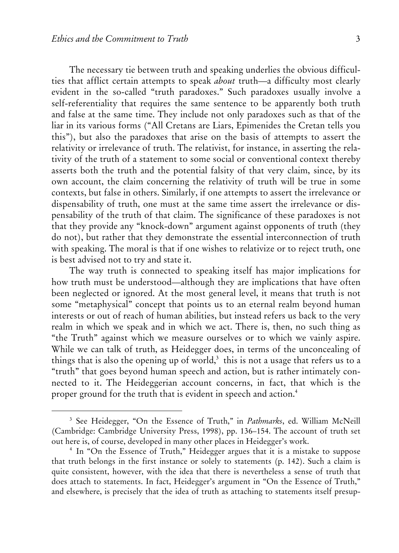$\overline{a}$ 

The necessary tie between truth and speaking underlies the obvious difficulties that afflict certain attempts to speak *about* truth—a difficulty most clearly evident in the so-called "truth paradoxes." Such paradoxes usually involve a self-referentiality that requires the same sentence to be apparently both truth and false at the same time. They include not only paradoxes such as that of the liar in its various forms ("All Cretans are Liars, Epimenides the Cretan tells you this"), but also the paradoxes that arise on the basis of attempts to assert the relativity or irrelevance of truth. The relativist, for instance, in asserting the relativity of the truth of a statement to some social or conventional context thereby asserts both the truth and the potential falsity of that very claim, since, by its own account, the claim concerning the relativity of truth will be true in some contexts, but false in others. Similarly, if one attempts to assert the irrelevance or dispensability of truth, one must at the same time assert the irrelevance or dispensability of the truth of that claim. The significance of these paradoxes is not that they provide any "knock-down" argument against opponents of truth (they do not), but rather that they demonstrate the essential interconnection of truth with speaking. The moral is that if one wishes to relativize or to reject truth, one is best advised not to try and state it.

The way truth is connected to speaking itself has major implications for how truth must be understood—although they are implications that have often been neglected or ignored. At the most general level, it means that truth is not some "metaphysical" concept that points us to an eternal realm beyond human interests or out of reach of human abilities, but instead refers us back to the very realm in which we speak and in which we act. There is, then, no such thing as "the Truth" against which we measure ourselves or to which we vainly aspire. While we can talk of truth, as Heidegger does, in terms of the unconcealing of things that is also the opening up of world, $3$  this is not a usage that refers us to a "truth" that goes beyond human speech and action, but is rather intimately connected to it. The Heideggerian account concerns, in fact, that which is the proper ground for the truth that is evident in speech and action.<sup>4</sup>

<sup>3</sup> See Heidegger, "On the Essence of Truth," in *Pathmarks*, ed. William McNeill (Cambridge: Cambridge University Press, 1998), pp. 136–154. The account of truth set out here is, of course, developed in many other places in Heidegger's work. 4

<sup>&</sup>lt;sup>4</sup> In "On the Essence of Truth," Heidegger argues that it is a mistake to suppose that truth belongs in the first instance or solely to statements (p. 142). Such a claim is quite consistent, however, with the idea that there is nevertheless a sense of truth that does attach to statements. In fact, Heidegger's argument in "On the Essence of Truth," and elsewhere, is precisely that the idea of truth as attaching to statements itself presup-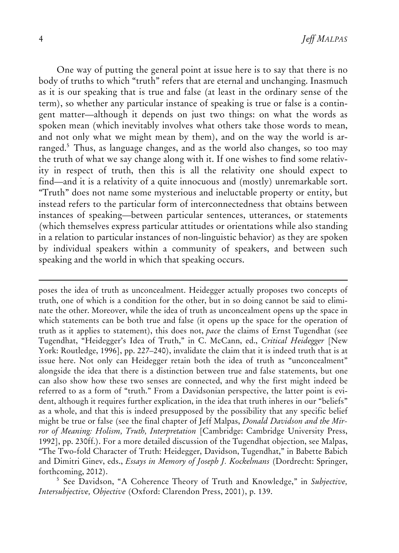One way of putting the general point at issue here is to say that there is no body of truths to which "truth" refers that are eternal and unchanging. Inasmuch as it is our speaking that is true and false (at least in the ordinary sense of the term), so whether any particular instance of speaking is true or false is a contingent matter—although it depends on just two things: on what the words as spoken mean (which inevitably involves what others take those words to mean, and not only what we might mean by them), and on the way the world is arranged.<sup>5</sup> Thus, as language changes, and as the world also changes, so too may the truth of what we say change along with it. If one wishes to find some relativity in respect of truth, then this is all the relativity one should expect to find—and it is a relativity of a quite innocuous and (mostly) unremarkable sort. "Truth" does not name some mysterious and ineluctable property or entity, but instead refers to the particular form of interconnectedness that obtains between instances of speaking—between particular sentences, utterances, or statements (which themselves express particular attitudes or orientations while also standing in a relation to particular instances of non-linguistic behavior) as they are spoken by individual speakers within a community of speakers, and between such speaking and the world in which that speaking occurs.

poses the idea of truth as unconcealment. Heidegger actually proposes two concepts of truth, one of which is a condition for the other, but in so doing cannot be said to eliminate the other. Moreover, while the idea of truth as unconcealment opens up the space in which statements can be both true and false (it opens up the space for the operation of truth as it applies to statement), this does not, *pace* the claims of Ernst Tugendhat (see Tugendhat, "Heidegger's Idea of Truth," in C. McCann, ed., *Critical Heidegger* [New York: Routledge, 1996], pp. 227–240), invalidate the claim that it is indeed truth that is at issue here. Not only can Heidegger retain both the idea of truth as "unconcealment" alongside the idea that there is a distinction between true and false statements, but one can also show how these two senses are connected, and why the first might indeed be referred to as a form of "truth." From a Davidsonian perspective, the latter point is evident, although it requires further explication, in the idea that truth inheres in our "beliefs" as a whole, and that this is indeed presupposed by the possibility that any specific belief might be true or false (see the final chapter of Jeff Malpas, *Donald Davidson and the Mirror of Meaning: Holism, Truth, Interpretation* [Cambridge: Cambridge University Press, 1992], pp. 230ff.). For a more detailed discussion of the Tugendhat objection, see Malpas, "The Two-fold Character of Truth: Heidegger, Davidson, Tugendhat," in Babette Babich and Dimitri Ginev, eds., *Essays in Memory of Joseph J. Kockelmans* (Dordrecht: Springer, forthcoming, 2012).

<sup>5</sup> See Davidson, "A Coherence Theory of Truth and Knowledge," in *Subjective*, *Intersubjective, Objective* (Oxford: Clarendon Press, 2001), p. 139.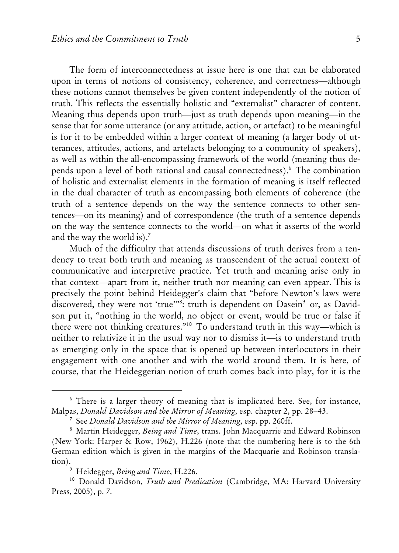The form of interconnectedness at issue here is one that can be elaborated upon in terms of notions of consistency, coherence, and correctness—although these notions cannot themselves be given content independently of the notion of truth. This reflects the essentially holistic and "externalist" character of content. Meaning thus depends upon truth—just as truth depends upon meaning—in the sense that for some utterance (or any attitude, action, or artefact) to be meaningful is for it to be embedded within a larger context of meaning (a larger body of utterances, attitudes, actions, and artefacts belonging to a community of speakers), as well as within the all-encompassing framework of the world (meaning thus depends upon a level of both rational and causal connectedness).6 The combination of holistic and externalist elements in the formation of meaning is itself reflected in the dual character of truth as encompassing both elements of coherence (the truth of a sentence depends on the way the sentence connects to other sentences—on its meaning) and of correspondence (the truth of a sentence depends on the way the sentence connects to the world—on what it asserts of the world and the way the world is). $<sup>7</sup>$ </sup>

Much of the difficulty that attends discussions of truth derives from a tendency to treat both truth and meaning as transcendent of the actual context of communicative and interpretive practice. Yet truth and meaning arise only in that context—apart from it, neither truth nor meaning can even appear. This is precisely the point behind Heidegger's claim that "before Newton's laws were discovered, they were not 'true'"<sup>8</sup>: truth is dependent on Dasein<sup>9</sup> or, as Davidson put it, "nothing in the world, no object or event, would be true or false if there were not thinking creatures."10 To understand truth in this way—which is neither to relativize it in the usual way nor to dismiss it—is to understand truth as emerging only in the space that is opened up between interlocutors in their engagement with one another and with the world around them. It is here, of course, that the Heideggerian notion of truth comes back into play, for it is the

<sup>&</sup>lt;sup>6</sup> There is a larger theory of meaning that is implicated here. See, for instance, Malpas, *Donald Davidson and the Mirror of Meaning*, esp. chapter 2, pp. 28–43. 7

<sup>&</sup>lt;sup>7</sup> See *Donald Davidson and the Mirror of Meaning*, esp. pp. 260ff.

Martin Heidegger, *Being and Time*, trans. John Macquarrie and Edward Robinson (New York: Harper & Row, 1962), H.226 (note that the numbering here is to the 6th German edition which is given in the margins of the Macquarie and Robinson translation).<br><sup>9</sup> Heidegger, *Being and Time*, H.226.

<sup>&</sup>lt;sup>10</sup> Donald Davidson, *Truth and Predication* (Cambridge, MA: Harvard University Press, 2005), p. 7.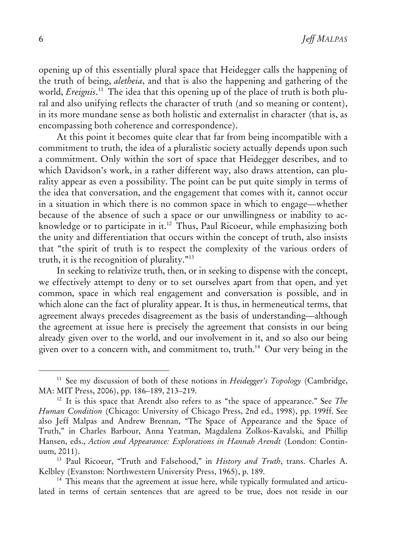opening up of this essentially plural space that Heidegger calls the happening of the truth of being, *aletheia*, and that is also the happening and gathering of the world, *Ereignis*. 11 The idea that this opening up of the place of truth is both plural and also unifying reflects the character of truth (and so meaning or content), in its more mundane sense as both holistic and externalist in character (that is, as encompassing both coherence and correspondence).

At this point it becomes quite clear that far from being incompatible with a commitment to truth, the idea of a pluralistic society actually depends upon such a commitment. Only within the sort of space that Heidegger describes, and to which Davidson's work, in a rather different way, also draws attention, can plurality appear as even a possibility. The point can be put quite simply in terms of the idea that conversation, and the engagement that comes with it, cannot occur in a situation in which there is no common space in which to engage—whether because of the absence of such a space or our unwillingness or inability to acknowledge or to participate in it.12 Thus, Paul Ricoeur, while emphasizing both the unity and differentiation that occurs within the concept of truth, also insists that "the spirit of truth is to respect the complexity of the various orders of truth, it is the recognition of plurality."13

In seeking to relativize truth, then, or in seeking to dispense with the concept, we effectively attempt to deny or to set ourselves apart from that open, and yet common, space in which real engagement and conversation is possible, and in which alone can the fact of plurality appear. It is thus, in hermeneutical terms, that agreement always precedes disagreement as the basis of understanding—although the agreement at issue here is precisely the agreement that consists in our being already given over to the world, and our involvement in it, and so also our being given over to a concern with, and commitment to, truth.<sup>14</sup> Our very being in the

<sup>11</sup> See my discussion of both of these notions in *Heidegger's Topology* (Cambridge, MA: MIT Press, 2006), pp. 186–189, 213–219.<br><sup>12</sup> It is this space that Arendt also refers to as "the space of appearance." See *The* 

*Human Condition* (Chicago: University of Chicago Press, 2nd ed., 1998), pp. 199ff. See also Jeff Malpas and Andrew Brennan, "The Space of Appearance and the Space of Truth," in Charles Barbour, Anna Yeatman, Magdalena Zolkos-Kavalski, and Phillip Hansen, eds., *Action and Appearance: Explorations in Hannah Arendt* (London: Contin-

uum, 2011). 13 Paul Ricoeur, "Truth and Falsehood," in *History and Truth*, trans. Charles A. Kelbley (Evanston: Northwestern University Press, 1965), p. 189.<br><sup>14</sup> This means that the agreement at issue here, while typically formulated and articu-

lated in terms of certain sentences that are agreed to be true, does not reside in our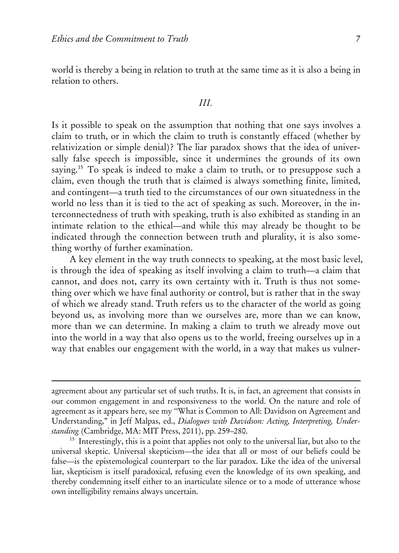$\overline{a}$ 

world is thereby a being in relation to truth at the same time as it is also a being in relation to others.

#### *III.*

Is it possible to speak on the assumption that nothing that one says involves a claim to truth, or in which the claim to truth is constantly effaced (whether by relativization or simple denial)? The liar paradox shows that the idea of universally false speech is impossible, since it undermines the grounds of its own saying.<sup>15</sup> To speak is indeed to make a claim to truth, or to presuppose such a claim, even though the truth that is claimed is always something finite, limited, and contingent—a truth tied to the circumstances of our own situatedness in the world no less than it is tied to the act of speaking as such. Moreover, in the interconnectedness of truth with speaking, truth is also exhibited as standing in an intimate relation to the ethical—and while this may already be thought to be indicated through the connection between truth and plurality, it is also something worthy of further examination.

A key element in the way truth connects to speaking, at the most basic level, is through the idea of speaking as itself involving a claim to truth—a claim that cannot, and does not, carry its own certainty with it. Truth is thus not something over which we have final authority or control, but is rather that in the sway of which we already stand. Truth refers us to the character of the world as going beyond us, as involving more than we ourselves are, more than we can know, more than we can determine. In making a claim to truth we already move out into the world in a way that also opens us to the world, freeing ourselves up in a way that enables our engagement with the world, in a way that makes us vulner-

agreement about any particular set of such truths. It is, in fact, an agreement that consists in our common engagement in and responsiveness to the world. On the nature and role of agreement as it appears here, see my ''What is Common to All: Davidson on Agreement and Understanding," in Jeff Malpas, ed., *Dialogues with Davidson: Acting, Interpreting, Understanding* (Cambridge, MA: MIT Press, 2011), pp. 259–280. 15 Interestingly, this is a point that applies not only to the universal liar, but also to the

universal skeptic. Universal skepticism—the idea that all or most of our beliefs could be false—is the epistemological counterpart to the liar paradox. Like the idea of the universal liar, skepticism is itself paradoxical, refusing even the knowledge of its own speaking, and thereby condemning itself either to an inarticulate silence or to a mode of utterance whose own intelligibility remains always uncertain.